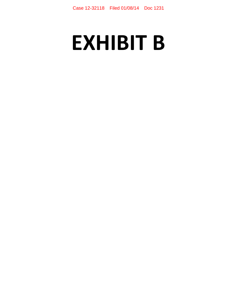# **EXHIBIT B**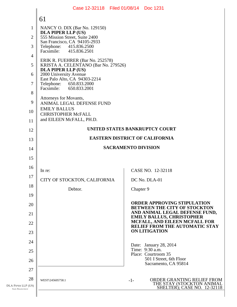|                                            | Case 12-32118 Filed 01/08/14 Doc 1231                             |                                                                       |  |
|--------------------------------------------|-------------------------------------------------------------------|-----------------------------------------------------------------------|--|
|                                            | 61                                                                |                                                                       |  |
| $\mathbf{1}$                               | NANCY O. DIX (Bar No. 129150)                                     |                                                                       |  |
| $\overline{2}$                             | <b>DLA PIPER LLP (US)</b><br>555 Mission Street, Suite 2400       |                                                                       |  |
| 3                                          | San Francisco, CA 94105-2933<br>Telephone: 415.836.2500           |                                                                       |  |
| $\overline{4}$                             | Facsimile: 415.836.2501<br>ERIK R. FUEHRER (Bar No. 252578)       |                                                                       |  |
| 5                                          | KRISTA A. CELENTANO (Bar No. 279526)<br><b>DLA PIPER LLP (US)</b> |                                                                       |  |
| 6                                          | 2000 University Avenue<br>East Palo Alto, CA 94303-2214           |                                                                       |  |
| 7                                          | Telephone: 650.833.2000<br>Facsimile: 650.833.2001                |                                                                       |  |
| 8                                          | Attorneys for Movants,                                            |                                                                       |  |
| 9                                          | ANIMAL LEGAL DEFENSE FUND                                         |                                                                       |  |
| 10                                         | <b>EMILY BALLUS</b><br><b>CHRISTOPHER McFALL</b>                  |                                                                       |  |
| 11                                         | and EILEEN McFALL, PH.D.                                          |                                                                       |  |
| 12                                         |                                                                   | UNITED STATES BANKRUPTCY COURT                                        |  |
| 13                                         | <b>EASTERN DISTRICT OF CALIFORNIA</b>                             |                                                                       |  |
| 14                                         | <b>SACRAMENTO DIVISION</b>                                        |                                                                       |  |
| 15                                         |                                                                   |                                                                       |  |
| 16                                         | In re:                                                            | CASE NO. 12-32118                                                     |  |
| 17                                         | CITY OF STOCKTON, CALIFORNIA                                      | DC No. DLA-01                                                         |  |
| 18                                         | Debtor.                                                           | Chapter 9                                                             |  |
| 19                                         |                                                                   | <b>ORDER APPROVING STIPULATION</b>                                    |  |
| 20                                         |                                                                   | <b>BETWEEN THE CITY OF STOCKTON</b><br>AND ANIMAL LEGAL DEFENSE FUND, |  |
| 21<br>22                                   |                                                                   | <b>EMILY BALLUS, CHRISTOPHER</b><br>MCFALL, AND EILEEN MCFALL FOR     |  |
| 23                                         |                                                                   | <b>RELIEF FROM THE AUTOMATIC STAY</b><br><b>ON LITIGATION</b>         |  |
| 24                                         |                                                                   |                                                                       |  |
| 25                                         |                                                                   | Date: January 28, 2014<br>Time: 9:30 a.m.                             |  |
| 26                                         |                                                                   | Place: Courtroom 35<br>501 I Street, 6th Floor                        |  |
| 27                                         |                                                                   | Sacramento, CA 95814                                                  |  |
| 28                                         | WEST\245605758.1                                                  | ORDER GRANTING RELIEF FROM<br>$-1-$<br>THE STAY (STOCKTON ANIMAL      |  |
| DLA PIPER LLP (US)<br><b>SAN FRANCISCO</b> |                                                                   | <b>SHELTER); CASE NO. 12-32118</b>                                    |  |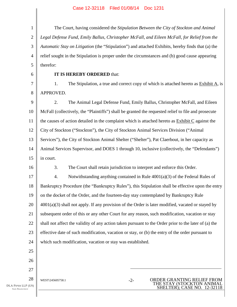1 2 3 4 5 The Court, having considered the *Stipulation Between the City of Stockton and Animal Legal Defense Fund, Emily Ballus, Christopher McFall, and Eileen McFall, for Relief from the Automatic Stay on Litigation* (the "Stipulation") and attached Exhibits, hereby finds that (a) the relief sought in the Stipulation is proper under the circumstances and (b) good cause appearing therefor:

6

#### **IT IS HEREBY ORDERED** that:

7 8 1. The Stipulation, a true and correct copy of which is attached hereto as Exhibit A, is APPROVED.

9 10 11 12 13 14 15 2. The Animal Legal Defense Fund, Emily Ballus, Christopher McFall, and Eileen McFall (collectively, the "Plaintiffs") shall be granted the requested relief to file and prosecute the causes of action detailed in the complaint which is attached hereto as Exhibit C against the City of Stockton ("Stockton"), the City of Stockton Animal Services Division ("Animal Services"), the City of Stockton Animal Shelter ("Shelter"), Pat Claerbout, in her capacity as Animal Services Supervisor, and DOES 1 through 10, inclusive (collectively, the "Defendants") in court.

16

3. The Court shall retain jurisdiction to interpret and enforce this Order.

17 18 19 20 21 22 23 24 4. Notwithstanding anything contained in Rule 4001(a)(3) of the Federal Rules of Bankruptcy Procedure (the "Bankruptcy Rules"), this Stipulation shall be effective upon the entry on the docket of the Order, and the fourteen-day stay contemplated by Bankruptcy Rule 4001(a)(3) shall not apply. If any provision of the Order is later modified, vacated or stayed by subsequent order of this or any other Court for any reason, such modification, vacation or stay shall not affect the validity of any action taken pursuant to the Order prior to the later of (a) the effective date of such modification, vacation or stay, or (b) the entry of the order pursuant to which such modification, vacation or stay was established.

> THE STAY (STOCKTON ANIMAL SHELTER); CASE NO. 12-32118

26 27

25

28 WEST\245605758.1 -2- ORDER GRANTING RELIEF FROM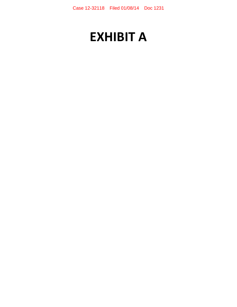# **EXHIBIT A**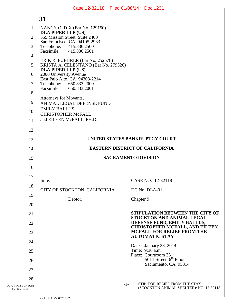#### DLA PIPER LLP (US) SAN FRANCISCO 1 2 3 4 5 6 7 8 9 10 11 12 13 14 15 16 17 18 19 20 21 22 23 24 25 26 27 28 **31**  -1- STIP. FOR RELIEF FROM THE STAY (STOCKTON ANIMAL SHELTER); NO. 12-32118 NANCY O. DIX (Bar No. 129150) **DLA PIPER LLP (US)**  555 Mission Street, Suite 2400 San Francisco, CA 94105-2933 Telephone: 415.836.2500<br>Facsimile: 415.836.2501 Facsimile: 415.836.2501 ERIK R. FUEHRER (Bar No. 252578) KRISTA A. CELENTANO (Bar No. 279526) **DLA PIPER LLP (US)**  2000 University Avenue East Palo Alto, CA 94303-2214<br>Telephone: 650.833.2000 Telephone: 650.833.2000<br>Facsimile: 650.833.2001 Facsimile: 650.833.2001 Attorneys for Movants, ANIMAL LEGAL DEFENSE FUND EMILY BALLUS CHRISTOPHER McFALL and EILEEN McFALL, PH.D. **UNITED STATES BANKRUPTCY COURT EASTERN DISTRICT OF CALIFORNIA SACRAMENTO DIVISION**  In re: CITY OF STOCKTON, CALIFORNIA Debtor. CASE NO. 12-32118 DC No. DLA-01 Chapter 9 **STIPULATION BETWEEN THE CITY OF STOCKTON AND ANIMAL LEGAL DEFENSE FUND, EMILY BALLUS, CHRISTOPHER MCFALL, AND EILEEN MCFALL FOR RELIEF FROM THE AUTOMATIC STAY**  Date: January 28, 2014 Time: 9:30 a.m. Place: Courtroom 35  $501$  I Street,  $6<sup>th</sup>$  Floor Sacramento, CA 95814 Case 12-32118 Filed 01/08/14 Doc 1231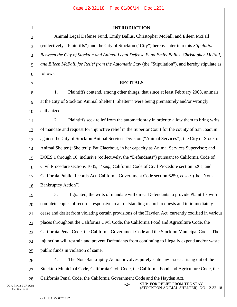| $\mathbf{1}$   | <b>INTRODUCTION</b>                                                                                 |
|----------------|-----------------------------------------------------------------------------------------------------|
| $\overline{2}$ | Animal Legal Defense Fund, Emily Ballus, Christopher McFall, and Eileen McFall                      |
| 3              | (collectively, "Plaintiffs") and the City of Stockton ("City") hereby enter into this Stipulation   |
| $\overline{4}$ | Between the City of Stockton and Animal Legal Defense Fund Emily Ballus, Christopher McFall,        |
| 5              | and Eileen McFall, for Relief from the Automatic Stay (the "Stipulation"), and hereby stipulate as  |
| 6              | follows:                                                                                            |
| 7              | <b>RECITALS</b>                                                                                     |
| 8              | 1.<br>Plaintiffs contend, among other things, that since at least February 2008, animals            |
| 9              | at the City of Stockton Animal Shelter ("Shelter") were being prematurely and/or wrongly            |
| 10             | euthanized.                                                                                         |
| 11             | 2.<br>Plaintiffs seek relief from the automatic stay in order to allow them to bring writs          |
| 12             | of mandate and request for injunctive relief in the Superior Court for the county of San Joaquin    |
| 13             | against the City of Stockton Animal Services Division ("Animal Services"); the City of Stockton     |
| 14             | Animal Shelter ("Shelter"); Pat Claerbout, in her capacity as Animal Services Supervisor; and       |
| 15             | DOES 1 through 10, inclusive (collectively, the "Defendants") pursuant to California Code of        |
| 16             | Civil Procedure sections 1085, et seq., California Code of Civil Procedure section 526a, and        |
| 17             | California Public Records Act, California Government Code section 6250, et seq. (the "Non-          |
| 18             | Bankruptcy Action").                                                                                |
| 19             | 3.<br>If granted, the writs of mandate will direct Defendants to provide Plaintiffs with            |
| 20             | complete copies of records responsive to all outstanding records requests and to immediately        |
| 21             | cease and desist from violating certain provisions of the Hayden Act, currently codified in various |
| 22             | places throughout the California Civil Code, the California Food and Agriculture Code, the          |
| 23             | California Penal Code, the California Government Code and the Stockton Municipal Code. The          |
| 24             | injunction will restrain and prevent Defendants from continuing to illegally expend and/or waste    |
| 25             | public funds in violation of same.                                                                  |
| 26             | 4.<br>The Non-Bankruptcy Action involves purely state law issues arising out of the                 |
| 27             | Stockton Municipal Code, California Civil Code, the California Food and Agriculture Code, the       |

California Penal Code, the California Government Code and the Hayden Act.

-2- STIP. FOR RELIEF FROM THE STAY (STOCKTON ANIMAL SHELTER); NO. 12-32118

28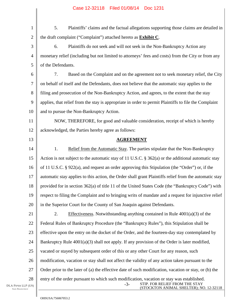| $\mathbf{1}$          | 5.<br>Plaintiffs' claims and the factual allegations supporting those claims are detailed in                                                                                    |
|-----------------------|---------------------------------------------------------------------------------------------------------------------------------------------------------------------------------|
| $\overline{2}$        | the draft complaint ("Complaint") attached hereto as <b>Exhibit C</b> .                                                                                                         |
| 3                     | 6.<br>Plaintiffs do not seek and will not seek in the Non-Bankruptcy Action any                                                                                                 |
| $\overline{4}$        | monetary relief (including but not limited to attorneys' fees and costs) from the City or from any                                                                              |
| 5                     | of the Defendants.                                                                                                                                                              |
| 6                     | 7.<br>Based on the Complaint and on the agreement not to seek monetary relief, the City                                                                                         |
| 7                     | on behalf of itself and the Defendants, does not believe that the automatic stay applies to the                                                                                 |
| 8                     | filing and prosecution of the Non-Bankruptcy Action, and agrees, to the extent that the stay                                                                                    |
| 9                     | applies, that relief from the stay is appropriate in order to permit Plaintiffs to file the Complaint                                                                           |
| 10                    | and to pursue the Non-Bankruptcy Action.                                                                                                                                        |
| 11                    | NOW, THEREFORE, for good and valuable consideration, receipt of which is hereby                                                                                                 |
| 12                    | acknowledged, the Parties hereby agree as follows:                                                                                                                              |
| 13                    | <b>AGREEMENT</b>                                                                                                                                                                |
| 14                    | 1.<br>Relief from the Automatic Stay. The parties stipulate that the Non-Bankruptcy                                                                                             |
| 15                    | Action is not subject to the automatic stay of 11 U.S.C. $\S$ 362(a) or the additional automatic stay                                                                           |
| 16                    | of 11 U.S.C. § 922(a), and request an order approving this Stipulation (the "Order") or, if the                                                                                 |
| 17                    | automatic stay applies to this action, the Order shall grant Plaintiffs relief from the automatic stay                                                                          |
| 18                    | provided for in section 362(a) of title 11 of the United States Code (the "Bankruptcy Code") with                                                                               |
| 19                    | respect to filing the Complaint and to bringing writs of mandate and a request for injunctive relief                                                                            |
| 20                    | in the Superior Court for the County of San Joaquin against Defendants.                                                                                                         |
| 21                    | Effectiveness. Notwithstanding anything contained in Rule $4001(a)(3)$ of the<br>2.                                                                                             |
| 22                    | Federal Rules of Bankruptcy Procedure (the "Bankruptcy Rules"), this Stipulation shall be                                                                                       |
| 23                    | effective upon the entry on the docket of the Order, and the fourteen-day stay contemplated by                                                                                  |
| 24                    | Bankruptcy Rule $4001(a)(3)$ shall not apply. If any provision of the Order is later modified,                                                                                  |
| 25                    | vacated or stayed by subsequent order of this or any other Court for any reason, such                                                                                           |
| 26                    | modification, vacation or stay shall not affect the validity of any action taken pursuant to the                                                                                |
| 27                    | Order prior to the later of (a) the effective date of such modification, vacation or stay, or (b) the                                                                           |
| 28<br>(US)<br>$\circ$ | entry of the order pursuant to which such modification, vacation or stay was established.<br>STIP. FOR RELIEF FROM THE STAY<br>$-3-$<br>(STOCKTON ANIMAL SHELTER); NO. 12-32118 |

DLA PIPER LLP SAN FRANCISCO

 $\parallel$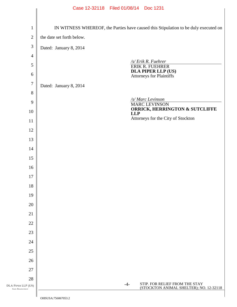|                                            | Case 12-32118 Filed 01/08/14 Doc 1231                                               |  |  |
|--------------------------------------------|-------------------------------------------------------------------------------------|--|--|
|                                            |                                                                                     |  |  |
| $\mathbf{1}$                               | IN WITNESS WHEREOF, the Parties have caused this Stipulation to be duly executed on |  |  |
| $\mathfrak{2}$                             | the date set forth below.                                                           |  |  |
| $\mathfrak{Z}$                             | Dated: January 8, 2014                                                              |  |  |
| $\overline{4}$                             |                                                                                     |  |  |
| 5                                          | /s/ Erik R. Fuehrer<br>ERIK R. FUEHRER                                              |  |  |
| 6                                          | <b>DLA PIPER LLP (US)</b><br>Attorneys for Plaintiffs                               |  |  |
| $\boldsymbol{7}$                           | Dated: January 8, 2014                                                              |  |  |
| 8                                          |                                                                                     |  |  |
| 9                                          | /s/ Marc Levinson<br>MARC LEVINSON                                                  |  |  |
| 10                                         | <b>ORRICK, HERRINGTON &amp; SUTCLIFFE</b><br><b>LLP</b>                             |  |  |
| 11                                         | Attorneys for the City of Stockton                                                  |  |  |
| 12                                         |                                                                                     |  |  |
| 13                                         |                                                                                     |  |  |
| 14                                         |                                                                                     |  |  |
| 15                                         |                                                                                     |  |  |
| 16                                         |                                                                                     |  |  |
| 17                                         |                                                                                     |  |  |
| 18                                         |                                                                                     |  |  |
| 19                                         |                                                                                     |  |  |
| 20                                         |                                                                                     |  |  |
| 21                                         |                                                                                     |  |  |
| 22                                         |                                                                                     |  |  |
| 23                                         |                                                                                     |  |  |
| 24                                         |                                                                                     |  |  |
| 25                                         |                                                                                     |  |  |
| 26                                         |                                                                                     |  |  |
| 27                                         |                                                                                     |  |  |
| 28                                         | STIP. FOR RELIEF FROM THE STAY<br>$-4-$                                             |  |  |
| DLA PIPER LLP (US)<br><b>SAN FRANCISCO</b> | (STOCKTON ANIMAL SHELTER); NO. 12-32118                                             |  |  |
|                                            | $\bigcap \text{HCTIC} \land \bigcup \{C \} \bigcap \{C \} \cap \{C \}$              |  |  |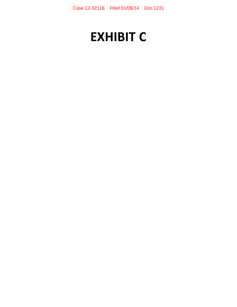# **EXHIBIT C**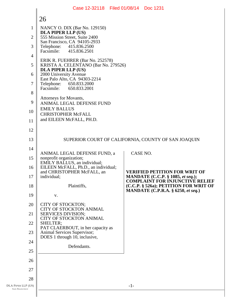|                                            | Case 12-32118 Filed 01/08/14 Doc 1231                                |          |                                                                                                                              |
|--------------------------------------------|----------------------------------------------------------------------|----------|------------------------------------------------------------------------------------------------------------------------------|
|                                            | 26                                                                   |          |                                                                                                                              |
| 1                                          | NANCY O. DIX (Bar No. 129150)<br><b>DLA PIPER LLP (US)</b>           |          |                                                                                                                              |
| $\overline{2}$                             | 555 Mission Street, Suite 2400<br>San Francisco, CA 94105-2933       |          |                                                                                                                              |
| 3                                          | Telephone: 415.836.2500<br>Facsimile: 415.836.2501                   |          |                                                                                                                              |
| 4                                          | ERIK R. FUEHRER (Bar No. 252578)                                     |          |                                                                                                                              |
| 5                                          | KRISTA A. CELENTANO (Bar No. 279526)<br>DLA PIPER LLP (US)           |          |                                                                                                                              |
| 6                                          | 2000 University Avenue<br>East Palo Alto, CA 94303-2214              |          |                                                                                                                              |
| 7                                          | Telephone:<br>650.833.2000<br>Facsimile:<br>650.833.2001             |          |                                                                                                                              |
| 8                                          | Attorneys for Movants,                                               |          |                                                                                                                              |
| 9                                          | ANIMAL LEGAL DEFENSE FUND<br><b>EMILY BALLUS</b>                     |          |                                                                                                                              |
| 10<br>11                                   | <b>CHRISTOPHER McFALL</b><br>and EILEEN McFALL, PH.D.                |          |                                                                                                                              |
| 12                                         |                                                                      |          |                                                                                                                              |
| 13                                         |                                                                      |          | SUPERIOR COURT OF CALIFORNIA, COUNTY OF SAN JOAQUIN                                                                          |
| 14                                         |                                                                      |          |                                                                                                                              |
| 15                                         | ANIMAL LEGAL DEFENSE FUND, a<br>nonprofit organization;              | CASE NO. |                                                                                                                              |
| 16                                         | EMILY BALLUS, an individual;<br>EILEEN McFALL, Ph.D., an individual; |          |                                                                                                                              |
| 17                                         | and CHRISTOPHER McFALL, an<br>individual;                            |          | <b>VERIFIED PETITION FOR WRIT OF</b><br><b>MANDATE</b> (C.C.P. § 1085, et seq.);                                             |
| 18                                         | Plaintiffs,                                                          |          | <b>COMPLAINT FOR INJUNCTIVE RELIEF</b><br>(C.C.P. § 526a); PETITION FOR WRIT OF<br><b>MANDATE</b> (C.P.R.A. § 6250, et seq.) |
| 19                                         | V.                                                                   |          |                                                                                                                              |
| 20                                         | CITY OF STOCKTON;<br>CITY OF STOCKTON ANIMAL                         |          |                                                                                                                              |
| 21                                         | <b>SERVICES DIVISION;</b><br>CITY OF STOCKTON ANIMAL                 |          |                                                                                                                              |
| 22                                         | SHELTER;<br>PAT CLAERBOUT, in her capacity as                        |          |                                                                                                                              |
| 23                                         | Animal Services Supervisor;<br>DOES 1 through 10, inclusive,         |          |                                                                                                                              |
| 24                                         | Defendants.                                                          |          |                                                                                                                              |
| 25                                         |                                                                      |          |                                                                                                                              |
| 26<br>27                                   |                                                                      |          |                                                                                                                              |
| 28                                         |                                                                      |          |                                                                                                                              |
| DLA PIPER LLP (US)<br><b>SAN FRANCISCO</b> |                                                                      | $-1-$    |                                                                                                                              |
|                                            |                                                                      |          |                                                                                                                              |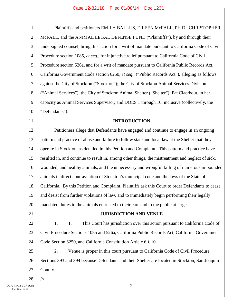| $\mathbf{1}$     | Plaintiffs and petitioners EMILY BALLUS, EILEEN McFALL, PH.D., CHRISTOPHER                         |
|------------------|----------------------------------------------------------------------------------------------------|
| $\mathbf{2}$     | McFALL, and the ANIMAL LEGAL DEFENSE FUND ("Plaintiffs"), by and through their                     |
| 3                | undersigned counsel, bring this action for a writ of mandate pursuant to California Code of Civil  |
| $\overline{4}$   | Procedure section 1085, et seq., for injunctive relief pursuant to California Code of Civil        |
| 5                | Procedure section 526a, and for a writ of mandate pursuant to California Public Records Act,       |
| 6                | California Government Code section 6250, et seq., ("Public Records Act"), alleging as follows      |
| $\boldsymbol{7}$ | against the City of Stockton ("Stockton"); the City of Stockton Animal Services Division           |
| 8                | ("Animal Services"); the City of Stockton Animal Shelter ("Shelter"); Pat Claerbout, in her        |
| 9                | capacity as Animal Services Supervisor; and DOES 1 through 10, inclusive (collectively, the        |
| 10               | "Defendants"):                                                                                     |
| 11               | <b>INTRODUCTION</b>                                                                                |
| 12               | Petitioners allege that Defendants have engaged and continue to engage in an ongoing               |
| 13               | pattern and practice of abuse and failure to follow state and local law at the Shelter that they   |
| 14               | operate in Stockton, as detailed in this Petition and Complaint. This pattern and practice have    |
| 15               | resulted in, and continue to result in, among other things, the mistreatment and neglect of sick,  |
| 16               | wounded, and healthy animals, and the unnecessary and wrongful killing of numerous impounded       |
| 17               | animals in direct contravention of Stockton's municipal code and the laws of the State of          |
| 18               | California. By this Petition and Complaint, Plaintiffs ask this Court to order Defendants to cease |
| 19               | and desist from further violations of law, and to immediately begin performing their legally       |
| 20               | mandated duties to the animals entrusted to their care and to the public at large.                 |
| 21               | <b>JURISDICTION AND VENUE</b>                                                                      |
| 22               | This Court has jurisdiction over this action pursuant to California Code of<br>1.<br>1.            |
| 23               | Civil Procedure Sections 1085 and 526a, California Public Records Act, California Government       |
| 24               | Code Section 6250, and California Constitution Article 6 § 10.                                     |
| 25               | 2.<br>Venue is proper in this court pursuant to California Code of Civil Procedure                 |
| 26               | Sections 393 and 394 because Defendants and their Shelter are located in Stockton, San Joaquin     |
| 27               | County.                                                                                            |
| 28               | 111                                                                                                |
| (US)             | $-2-$                                                                                              |

I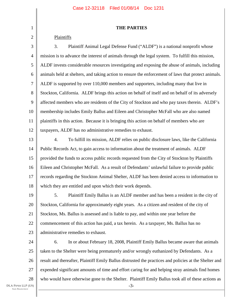|  | <b>THE PARTIES</b> |  |
|--|--------------------|--|
|--|--------------------|--|

#### Plaintiffs

1

2

3 4 5 6 7 8 9 10 11 12 3. Plaintiff Animal Legal Defense Fund ("ALDF") is a national nonprofit whose mission is to advance the interest of animals through the legal system. To fulfill this mission, ALDF invests considerable resources investigating and exposing the abuse of animals, including animals held at shelters, and taking action to ensure the enforcement of laws that protect animals. ALDF is supported by over 110,000 members and supporters, including many that live in Stockton, California. ALDF brings this action on behalf of itself and on behalf of its adversely affected members who are residents of the City of Stockton and who pay taxes therein. ALDF's membership includes Emily Ballus and Eileen and Christopher McFall who are also named plaintiffs in this action. Because it is bringing this action on behalf of members who are taxpayers, ALDF has no administrative remedies to exhaust.

13 14 15 16 17 18 4. To fulfill its mission, ALDF relies on public disclosure laws, like the California Public Records Act, to gain access to information about the treatment of animals. ALDF provided the funds to access public records requested from the City of Stockton by Plaintiffs Eileen and Christopher McFall. As a result of Defendants' unlawful failure to provide public records regarding the Stockton Animal Shelter, ALDF has been denied access to information to which they are entitled and upon which their work depends.

19 20 21 22 23 5. Plaintiff Emily Ballus is an ALDF member and has been a resident in the city of Stockton, California for approximately eight years. As a citizen and resident of the city of Stockton, Ms. Ballus is assessed and is liable to pay, and within one year before the commencement of this action has paid, a tax herein. As a taxpayer, Ms. Ballus has no administrative remedies to exhaust.

24 25 26 27 28 -3- 6. In or about February 18, 2008, Plaintiff Emily Ballus became aware that animals taken to the Shelter were being prematurely and/or wrongly euthanized by Defendants. As a result and thereafter, Plaintiff Emily Ballus distrusted the practices and policies at the Shelter and expended significant amounts of time and effort caring for and helping stray animals find homes who would have otherwise gone to the Shelter. Plaintiff Emily Ballus took all of these actions as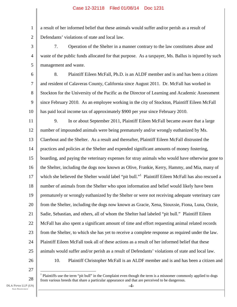a result of her informed belief that these animals would suffer and/or perish as a result of Defendants' violations of state and local law.

3 4 5 7. Operation of the Shelter in a manner contrary to the law constitutes abuse and waste of the public funds allocated for that purpose. As a taxpayer, Ms. Ballus is injured by such management and waste.

6

1

2

7 8 9 10 8. Plaintiff Eileen McFall, Ph.D. is an ALDF member and is and has been a citizen and resident of Calaveras County, California since August 2011. Dr. McFall has worked in Stockton for the University of the Pacific as the Director of Learning and Academic Assessment since February 2010. As an employee working in the city of Stockton, Plaintiff Eileen McFall has paid local income tax of approximately \$900 per year since February 2010.

11 12 13 14 15 16 17 18 19 20 21 22 23 24 25 9. In or about September 2011, Plaintiff Eileen McFall became aware that a large number of impounded animals were being prematurely and/or wrongly euthanized by Ms. Claerbout and the Shelter. As a result and thereafter, Plaintiff Eileen McFall distrusted the practices and policies at the Shelter and expended significant amounts of money fostering, boarding, and paying the veterinary expenses for stray animals who would have otherwise gone to the Shelter, including the dogs now known as Olive, Frankie, Kerry, Hammy, and Mia, many of which she believed the Shelter would label "pit bull."<sup>1</sup> Plaintiff Eileen McFall has also rescued a number of animals from the Shelter who upon information and belief would likely have been prematurely or wrongly euthanized by the Shelter or were not receiving adequate veterinary care from the Shelter, including the dogs now known as Gracie, Xena, Siouxsie, Fiona, Luna, Ozzie, Sadie, Sebastian, and others, all of whom the Shelter had labeled "pit bull." Plaintiff Eileen McFall has also spent a significant amount of time and effort requesting animal related records from the Shelter, to which she has yet to receive a complete response as required under the law. Plaintiff Eileen McFall took all of these actions as a result of her informed belief that these animals would suffer and/or perish as a result of Defendants' violations of state and local law. 10. Plaintiff Christopher McFall is an ALDF member and is and has been a citizen and

26

27

28

 $\overline{a}$  $<sup>1</sup>$  Plaintiffs use the term "pit bull" in the Complaint even though the term is a misnomer commonly applied to dogs</sup> from various breeds that share a particular appearance and that are perceived to be dangerous.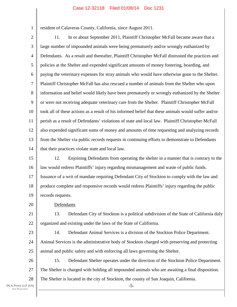resident of Calaveras County, California, since August 2011.

2 3 4 5 6 7 8 9 10 11 12 13 14 11. In or about September 2011, Plaintiff Christopher McFall became aware that a large number of impounded animals were being prematurely and/or wrongly euthanized by Defendants. As a result and thereafter, Plaintiff Christopher McFall distrusted the practices and policies at the Shelter and expended significant amounts of money fostering, boarding, and paying the veterinary expenses for stray animals who would have otherwise gone to the Shelter. Plaintiff Christopher McFall has also rescued a number of animals from the Shelter who upon information and belief would likely have been prematurely or wrongly euthanized by the Shelter or were not receiving adequate veterinary care from the Shelter. Plaintiff Christopher McFall took all of these actions as a result of his informed belief that these animals would suffer and/or perish as a result of Defendants' violations of state and local law. Plaintiff Christopher McFall also expended significant sums of money and amounts of time requesting and analyzing records from the Shelter via public records requests in continuing efforts to demonstrate to Defendants that their practices violate state and local law.

15 16 17 18 19 12. Enjoining Defendants from operating the shelter in a manner that is contrary to the law would redress Plaintiffs' injury regarding mismanagement and waste of public funds. Issuance of a writ of mandate requiring Defendant City of Stockton to comply with the law and produce complete and responsive records would redress Plaintiffs' injury regarding the public records requests.

Defendants

21 22 13. Defendant City of Stockton is a political subdivision of the State of California duly organized and existing under the laws of the State of California.

23 24

25

20

1

14. Defendant Animal Services is a division of the Stockton Police Department. Animal Services is the administrative body of Stockton charged with preserving and protecting animal and public safety and with enforcing all laws governing the Shelter.

26 27 28 15. Defendant Shelter operates under the direction of the Stockton Police Department. The Shelter is charged with holding all impounded animals who are awaiting a final disposition. The Shelter is located in the city of Stockton, the county of San Joaquin, California.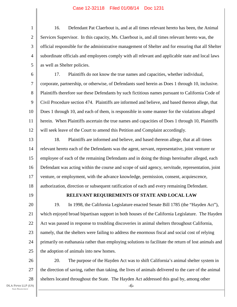1 2 3 4 5 16. Defendant Pat Claerbout is, and at all times relevant hereto has been, the Animal Services Supervisor. In this capacity, Ms. Claerbout is, and all times relevant hereto was, the official responsible for the administrative management of Shelter and for ensuring that all Shelter subordinate officials and employees comply with all relevant and applicable state and local laws as well as Shelter policies.

6 7 8 9 10 11 12 17. Plaintiffs do not know the true names and capacities, whether individual, corporate, partnership, or otherwise, of Defendants sued herein as Does 1 through 10, inclusive. Plaintiffs therefore sue these Defendants by such fictitious names pursuant to California Code of Civil Procedure section 474. Plaintiffs are informed and believe, and based thereon allege, that Does 1 through 10, and each of them, is responsible in some manner for the violations alleged herein. When Plaintiffs ascertain the true names and capacities of Does 1 through 10, Plaintiffs will seek leave of the Court to amend this Petition and Complaint accordingly.

13 14 15 16 17 18 18. Plaintiffs are informed and believe, and based thereon allege, that at all times relevant hereto each of the Defendants was the agent, servant, representative, joint venturer or employee of each of the remaining Defendants and in doing the things hereinafter alleged, each Defendant was acting within the course and scope of said agency, servitude, representation, joint venture, or employment, with the advance knowledge, permission, consent, acquiescence, authorization, direction or subsequent ratification of each and every remaining Defendant.

19

### **RELEVANT REQUIREMENTS OF STATE AND LOCAL LAW**

20 21 22 23 24 25 19. In 1998, the California Legislature enacted Senate Bill 1785 (the "Hayden Act"), which enjoyed broad bipartisan support in both houses of the California Legislature. The Hayden Act was passed in response to troubling discoveries in animal shelters throughout California, namely, that the shelters were failing to address the enormous fiscal and social cost of relying primarily on euthanasia rather than employing solutions to facilitate the return of lost animals and the adoption of animals into new homes.

26 27 28 20. The purpose of the Hayden Act was to shift California's animal shelter system in the direction of saving, rather than taking, the lives of animals delivered to the care of the animal shelters located throughout the State. The Hayden Act addressed this goal by, among other

-6-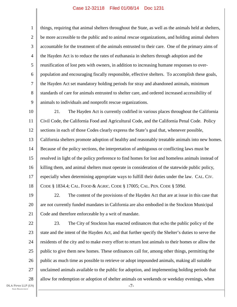1 2 3 4 5 6 7 8 9 things, requiring that animal shelters throughout the State, as well as the animals held at shelters, be more accessible to the public and to animal rescue organizations, and holding animal shelters accountable for the treatment of the animals entrusted to their care. One of the primary aims of the Hayden Act is to reduce the rates of euthanasia in shelters through adoption and the reunification of lost pets with owners, in addition to increasing humane responses to overpopulation and encouraging fiscally responsible, effective shelters. To accomplish these goals, the Hayden Act set mandatory holding periods for stray and abandoned animals, minimum standards of care for animals entrusted to shelter care, and ordered increased accessibility of animals to individuals and nonprofit rescue organizations.

10 11 12 13 14 15 16 17 18 21. The Hayden Act is currently codified in various places throughout the California Civil Code, the California Food and Agricultural Code, and the California Penal Code. Policy sections in each of those Codes clearly express the State's goal that, whenever possible, California shelters promote adoption of healthy and reasonably treatable animals into new homes. Because of the policy sections, the interpretation of ambiguous or conflicting laws must be resolved in light of the policy preference to find homes for lost and homeless animals instead of killing them, and animal shelters must operate in consideration of the statewide public policy, especially when determining appropriate ways to fulfill their duties under the law. CAL. CIV. CODE § 1834.4; CAL. FOOD & AGRIC. CODE § 17005; CAL. PEN. CODE § 599d.

19 20 21 22. The content of the provisions of the Hayden Act that are at issue in this case that are not currently funded mandates in California are also embodied in the Stockton Municipal Code and therefore enforceable by a writ of mandate.

22 23 24 25 26 27 28 -7- 23. The City of Stockton has enacted ordinances that echo the public policy of the state and the intent of the Hayden Act, and that further specify the Shelter's duties to serve the residents of the city and to make every effort to return lost animals to their homes or allow the public to give them new homes. These ordinances call for, among other things, permitting the public as much time as possible to retrieve or adopt impounded animals, making all suitable unclaimed animals available to the public for adoption, and implementing holding periods that allow for redemption or adoption of shelter animals on weekends or weekday evenings, when

DLA PIPER LLP (US) SAN FRANCISCO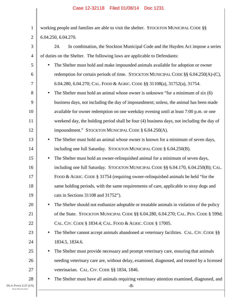| $\mathbf{1}$   | working people and families are able to visit the shelter. STOCKTON MUNICIPAL CODE §§              |  |  |  |  |
|----------------|----------------------------------------------------------------------------------------------------|--|--|--|--|
| $\mathbf{2}$   | 6.04.250, 6.04.270.                                                                                |  |  |  |  |
| 3              | In combination, the Stockton Municipal Code and the Hayden Act impose a series<br>24.              |  |  |  |  |
| $\overline{4}$ | of duties on the Shelter. The following laws are applicable to Defendants:                         |  |  |  |  |
| 5              | The Shelter must hold and make impounded animals available for adoption or owner                   |  |  |  |  |
| 6              | redemption for certain periods of time. STOCKTON MUNICIPAL CODE §§ 6.04.250(A)-(C),                |  |  |  |  |
| 7              | 6.04.280, 6.04.270; CAL. FOOD & AGRIC. CODE §§ 31108(a), 31752(a), 31754.                          |  |  |  |  |
| 8              | The Shelter must hold an animal whose owner is unknown "for a minimum of six (6)<br>$\bullet$      |  |  |  |  |
| 9              | business days, not including the day of impoundment; unless, the animal has been made              |  |  |  |  |
| 10             | available for owner redemption on one weekday evening until at least 7:00 p.m. or one              |  |  |  |  |
| 11             | weekend day, the holding period shall be four (4) business days, not including the day of          |  |  |  |  |
| 12             | impoundment." STOCKTON MUNICIPAL CODE § 6.04.250(A).                                               |  |  |  |  |
| 13             | The Shelter must hold an animal whose owner is known for a minimum of seven days,                  |  |  |  |  |
| 14             | including one full Saturday. STOCKTON MUNICIPAL CODE § 6.04.250(B).                                |  |  |  |  |
| 15             | The Shelter must hold an owner-relinquished animal for a minimum of seven days,<br>$\bullet$       |  |  |  |  |
| 16             | including one full Saturday. STOCKTON MUNICIPAL CODE §§ 6.04.170, 6.04.250(B); CAL.                |  |  |  |  |
| 17             | FOOD & AGRIC. CODE § 31754 (requiring owner-relinquished animals be held "for the                  |  |  |  |  |
| 18             | same holding periods, with the same requirements of care, applicable to stray dogs and             |  |  |  |  |
| 19             | cats in Sections 31108 and 31752").                                                                |  |  |  |  |
| 20             | The Shelter should not euthanize adoptable or treatable animals in violation of the policy         |  |  |  |  |
| 21             | of the State. STOCKTON MUNICIPAL CODE §§ 6.04.280, 6.04.270; CAL. PEN. CODE § 599d;                |  |  |  |  |
| 22             | CAL. CIV. CODE § 1834.4; CAL. FOOD & AGRIC. CODE § 17005.                                          |  |  |  |  |
| 23             | The Shelter cannot accept animals abandoned at veterinary facilities. CAL. CIV. CODE §§            |  |  |  |  |
| 24             | 1834.5, 1834.6.                                                                                    |  |  |  |  |
| 25             | The Shelter must provide necessary and prompt veterinary care, ensuring that animals               |  |  |  |  |
| 26             | needing veterinary care are, without delay, examined, diagnosed, and treated by a licensed         |  |  |  |  |
| 27             | veterinarian. CAL. CIV. CODE §§ 1834, 1846.                                                        |  |  |  |  |
| 28<br>(US)     | The Shelter must have all animals requiring veterinary attention examined, diagnosed, and<br>$-8-$ |  |  |  |  |
|                |                                                                                                    |  |  |  |  |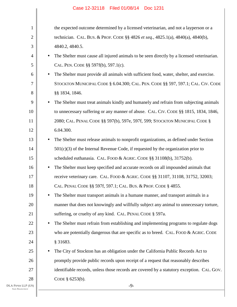| 1     |           | the expected outcome determined by a licensed veterinarian, and not a layperson or a       |
|-------|-----------|--------------------------------------------------------------------------------------------|
| 2     |           | technician. CAL. BUS. & PROF. CODE §§ 4826 et seq., 4825.1(a), 4840(a), 4840(b),           |
| 3     |           | 4840.2, 4840.5.                                                                            |
| 4     | $\bullet$ | The Shelter must cause all injured animals to be seen directly by a licensed veterinarian. |
| 5     |           | CAL. PEN. CODE §§ 597f(b), 597.1(c).                                                       |
| 6     | $\bullet$ | The Shelter must provide all animals with sufficient food, water, shelter, and exercise.   |
| 7     |           | STOCKTON MUNICIPAL CODE § 6.04.300; CAL. PEN. CODE § § 597, 597.1; CAL. CIV. CODE          |
| 8     |           | §§ 1834, 1846.                                                                             |
| 9     | $\bullet$ | The Shelter must treat animals kindly and humanely and refrain from subjecting animals     |
| 10    |           | to unnecessary suffering or any manner of abuse. CAL. CIV. CODE §§ 1815, 1834, 1846,       |
| 11    |           | 2080; CAL. PENAL CODE §§ 597(b), 597e, 597f, 599; STOCKTON MUNICIPAL CODE §                |
| 12    |           | 6.04.300.                                                                                  |
| 13    | $\bullet$ | The Shelter must release animals to nonprofit organizations, as defined under Section      |
| 14    |           | $501(c)(3)$ of the Internal Revenue Code, if requested by the organization prior to        |
| 15    |           | scheduled euthanasia. CAL. FOOD & AGRIC. CODE §§ 31108(b), 31752(b).                       |
| 16    | $\bullet$ | The Shelter must keep specified and accurate records on all impounded animals that         |
| 17    |           | receive veterinary care. CAL. FOOD & AGRIC. CODE §§ 31107, 31108, 31752, 32003;            |
| 18    |           | CAL. PENAL CODE §§ 597f, 597.1; CAL. BUS. & PROF. CODE § 4855.                             |
| 19    |           | The Shelter must transport animals in a humane manner, and transport animals in a          |
| 20    |           | manner that does not knowingly and willfully subject any animal to unnecessary torture,    |
| 21    |           | suffering, or cruelty of any kind. CAL. PENAL CODE § 597a.                                 |
| 22    |           | The Shelter must refrain from establishing and implementing programs to regulate dogs      |
| 23    |           | who are potentially dangerous that are specific as to breed. CAL. FOOD & AGRIC. CODE       |
| 24    |           | § 31683.                                                                                   |
| 25    |           | The City of Stockton has an obligation under the California Public Records Act to          |
| 26    |           | promptly provide public records upon receipt of a request that reasonably describes        |
| 27    |           | identifiable records, unless those records are covered by a statutory exception. CAL. GOV. |
| 28    |           | CODE $§$ 6253(b).                                                                          |
| P(US) |           | $-9-$                                                                                      |
|       |           |                                                                                            |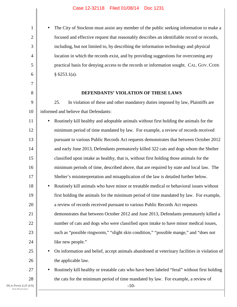• The City of Stockton must assist any member of the public seeking information to make a focused and effective request that reasonably describes an identifiable record or records, including, but not limited to, by describing the information technology and physical location in which the records exist, and by providing suggestions for overcoming any practical basis for denying access to the records or information sought. CAL. GOV. CODE § 6253.1(a).

#### **DEFENDANTS' VIOLATION OF THESE LAWS**

9 10 25. In violation of these and other mandatory duties imposed by law, Plaintiffs are informed and believe that Defendants:

11 12 13 14 15 16 17 18 19 20 21 22 23 24 25 • Routinely kill healthy and adoptable animals without first holding the animals for the minimum period of time mandated by law. For example, a review of records received pursuant to various Public Records Act requests demonstrates that between October 2012 and early June 2013, Defendants prematurely killed 322 cats and dogs whom the Shelter classified upon intake as healthy, that is, without first holding those animals for the minimum periods of time, described above, that are required by state and local law. The Shelter's misinterpretation and misapplication of the law is detailed further below. • Routinely kill animals who have minor or treatable medical or behavioral issues without first holding the animals for the minimum period of time mandated by law. For example, a review of records received pursuant to various Public Records Act requests demonstrates that between October 2012 and June 2013, Defendants prematurely killed a number of cats and dogs who were classified upon intake to have minor medical issues, such as "possible ringworm," "slight skin condition," "possible mange," and "does not like new people." • On information and belief, accept animals abandoned at veterinary facilities in violation of

the applicable law.

• Routinely kill healthy or treatable cats who have been labeled "feral" without first holding the cats for the minimum period of time mandated by law. For example, a review of

-10-

26

27

28

1

2

3

4

5

6

7

8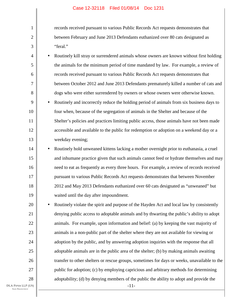records received pursuant to various Public Records Act requests demonstrates that between February and June 2013 Defendants euthanized over 80 cats designated as "feral."

4 5 6 7 8 9 10 11 • Routinely kill stray or surrendered animals whose owners are known without first holding the animals for the minimum period of time mandated by law. For example, a review of records received pursuant to various Public Records Act requests demonstrates that between October 2012 and June 2013 Defendants prematurely killed a number of cats and dogs who were either surrendered by owners or whose owners were otherwise known. • Routinely and incorrectly reduce the holding period of animals from six business days to four when, because of the segregation of animals in the Shelter and because of the Shelter's policies and practices limiting public access, those animals have not been made

accessible and available to the public for redemption or adoption on a weekend day or a weekday evening;

14 15 16 17 18 19 • Routinely hold unweaned kittens lacking a mother overnight prior to euthanasia, a cruel and inhumane practice given that such animals cannot feed or hydrate themselves and may need to eat as frequently as every three hours. For example, a review of records received pursuant to various Public Records Act requests demonstrates that between November 2012 and May 2013 Defendants euthanized over 60 cats designated as "unweaned" but waited until the day after impoundment.

20 21 22 23 24 25 26 27 28 • Routinely violate the spirit and purpose of the Hayden Act and local law by consistently denying public access to adoptable animals and by thwarting the public's ability to adopt animals. For example, upon information and belief: (a) by keeping the vast majority of animals in a non-public part of the shelter where they are not available for viewing or adoption by the public, and by answering adoption inquiries with the response that all adoptable animals are in the public area of the shelter; (b) by making animals awaiting transfer to other shelters or rescue groups, sometimes for days or weeks, unavailable to the public for adoption; (c) by employing capricious and arbitrary methods for determining adoptability; (d) by denying members of the public the ability to adopt and provide the

DLA PIPER LLP (US) SAN FRANCISCO

1

2

3

12

13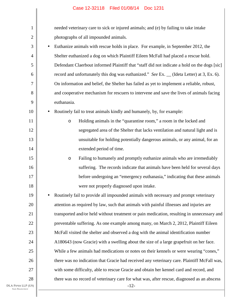| $\mathbf{1}$   |                                                                                            | needed veterinary care to sick or injured animals; and (e) by failing to take intake         |  |  |  |
|----------------|--------------------------------------------------------------------------------------------|----------------------------------------------------------------------------------------------|--|--|--|
| $\overline{c}$ |                                                                                            | photographs of all impounded animals.                                                        |  |  |  |
| 3              | $\bullet$                                                                                  | Euthanize animals with rescue holds in place. For example, in September 2012, the            |  |  |  |
| 4              |                                                                                            | Shelter euthanized a dog on which Plaintiff Eileen McFall had placed a rescue hold.          |  |  |  |
| 5              |                                                                                            | Defendant Claerbout informed Plaintiff that "staff did not indicate a hold on the dogs [sic] |  |  |  |
| 6              |                                                                                            | record and unfortunately this dog was euthanized." See Ex. _ (Ideta Letter) at 3, Ex. 6).    |  |  |  |
| 7              |                                                                                            | On information and belief, the Shelter has failed as yet to implement a reliable, robust,    |  |  |  |
| 8              |                                                                                            | and cooperative mechanism for rescuers to intervene and save the lives of animals facing     |  |  |  |
| 9              |                                                                                            | euthanasia.                                                                                  |  |  |  |
| 10             | $\bullet$                                                                                  | Routinely fail to treat animals kindly and humanely, by, for example:                        |  |  |  |
| 11             |                                                                                            | Holding animals in the "quarantine room," a room in the locked and<br>$\circ$                |  |  |  |
| 12             |                                                                                            | segregated area of the Shelter that lacks ventilation and natural light and is               |  |  |  |
| 13             |                                                                                            | unsuitable for holding potentially dangerous animals, or any animal, for an                  |  |  |  |
| 14             |                                                                                            | extended period of time.                                                                     |  |  |  |
| 15             |                                                                                            | Failing to humanely and promptly euthanize animals who are irremediably<br>$\circ$           |  |  |  |
| 16             |                                                                                            | suffering. The records indicate that animals have been held for several days                 |  |  |  |
| 17             |                                                                                            | before undergoing an "emergency euthanasia," indicating that these animals                   |  |  |  |
| 18             |                                                                                            | were not properly diagnosed upon intake.                                                     |  |  |  |
| 19             |                                                                                            | Routinely fail to provide all impounded animals with necessary and prompt veterinary         |  |  |  |
| 20             |                                                                                            | attention as required by law, such that animals with painful illnesses and injuries are      |  |  |  |
| 21             |                                                                                            | transported and/or held without treatment or pain medication, resulting in unnecessary and   |  |  |  |
| 22             |                                                                                            | preventable suffering. As one example among many, on March 2, 2012, Plaintiff Eileen         |  |  |  |
| 23             |                                                                                            | McFall visited the shelter and observed a dog with the animal identification number          |  |  |  |
| 24             |                                                                                            | A180643 (now Gracie) with a swelling about the size of a large grapefruit on her face.       |  |  |  |
| 25             |                                                                                            | While a few animals had medications or notes on their kennels or were wearing "cones,"       |  |  |  |
| 26             |                                                                                            | there was no indication that Gracie had received any veterinary care. Plaintiff McFall was,  |  |  |  |
| 27             |                                                                                            | with some difficulty, able to rescue Gracie and obtain her kennel card and record, and       |  |  |  |
| 28             | there was no record of veterinary care for what was, after rescue, diagnosed as an abscess |                                                                                              |  |  |  |
| P(US)<br>co    |                                                                                            | $-12-$                                                                                       |  |  |  |

I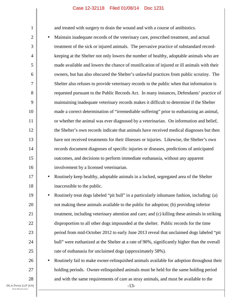and treated with surgery to drain the wound and with a course of antibiotics.

2 3 4 5 6 8 10 12 13 14 15 16 • Maintain inadequate records of the veterinary care, prescribed treatment, and actual treatment of the sick or injured animals. The pervasive practice of substandard recordkeeping at the Shelter not only lowers the number of healthy, adoptable animals who are made available and lowers the chance of reunification of injured or ill animals with their owners, but has also obscured the Shelter's unlawful practices from public scrutiny. The Shelter also refuses to provide veterinary records to the public when that information is requested pursuant to the Public Records Act. In many instances, Defendants' practice of maintaining inadequate veterinary records makes it difficult to determine if the Shelter made a correct determination of "irremediable suffering" prior to euthanizing an animal, or whether the animal was ever diagnosed by a veterinarian. On information and belief, the Shelter's own records indicate that animals have received medical diagnoses but then have not received treatments for their illnesses or injuries. Likewise, the Shelter's own records document diagnoses of specific injuries or diseases, predictions of anticipated outcomes, and decisions to perform immediate euthanasia, without any apparent involvement by a licensed veterinarian.

# 17 18

19

20

21

22

23

24

25

26

27

28

1

7

9

11

• Routinely keep healthy, adoptable animals in a locked, segregated area of the Shelter inaccessible to the public.

• Routinely treat dogs labeled "pit bull" in a particularly inhumane fashion, including: (a) not making these animals available to the public for adoption; (b) providing inferior treatment, including veterinary attention and care; and (c) killing these animals in striking disproportion to all other dogs impounded at the shelter. Public records for the time period from mid-October 2012 to early June 2013 reveal that unclaimed dogs labeled "pit bull" were euthanized at the Shelter at a rate of 90%, significantly higher than the overall rate of euthanasia for unclaimed dogs (approximately 58%).

• Routinely fail to make owner-relinquished animals available for adoption throughout their holding periods. Owner-relinquished animals must be held for the same holding period and with the same requirements of care as stray animals, and must be available to the

-13-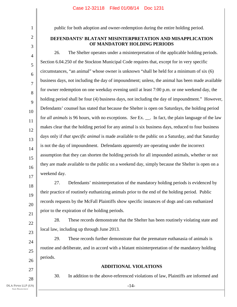2

3

1

public for both adoption and owner-redemption during the entire holding period.

# **DEFENDANTS' BLATANT MISINTERPRETATION AND MISAPPLICATION OF MANDATORY HOLDING PERIODS**

4 5 6 7 8 9 10 11 12 13 14 15 16 17 26. The Shelter operates under a misinterpretation of the applicable holding periods. Section 6.04.250 of the Stockton Municipal Code requires that, except for in very specific circumstances, "an animal" whose owner is unknown "shall be held for a minimum of six (6) business days, not including the day of impoundment; unless, the animal has been made available for owner redemption on one weekday evening until at least 7:00 p.m. or one weekend day, the holding period shall be four (4) business days, not including the day of impoundment." However, Defendants' counsel has stated that because the Shelter is open on Saturdays, the holding period for *all animals* is 96 hours, with no exceptions. *See* Ex. . In fact, the plain language of the law makes clear that the holding period for any animal is six business days, reduced to four business days only if *that specific animal* is made available to the public on a Saturday, and that Saturday is not the day of impoundment. Defendants apparently are operating under the incorrect assumption that they can shorten the holding periods for all impounded animals, whether or not they are made available to the public on a weekend day, simply because the Shelter is open on a weekend day.

18 19 20 21 27. Defendants' misinterpretation of the mandatory holding periods is evidenced by their practice of routinely euthanizing animals prior to the end of the holding period. Public records requests by the McFall Plaintiffs show specific instances of dogs and cats euthanized prior to the expiration of the holding periods.

28. These records demonstrate that the Shelter has been routinely violating state and local law, including up through June 2013.

29. These records further demonstrate that the premature euthanasia of animals is routine and deliberate, and in accord with a blatant misinterpretation of the mandatory holding periods.

27 28

22

23

24

25

26

# **ADDITIONAL VIOLATIONS**

-14-

30. In addition to the above-referenced violations of law, Plaintiffs are informed and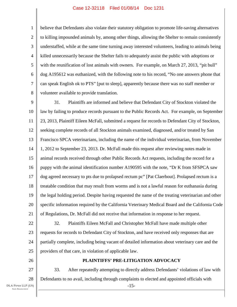1 2 3 4 5 6 7 8 believe that Defendants also violate their statutory obligation to promote life-saving alternatives to killing impounded animals by, among other things, allowing the Shelter to remain consistently understaffed, while at the same time turning away interested volunteers, leading to animals being killed unnecessarily because the Shelter fails to adequately assist the public with adoptions or with the reunification of lost animals with owners. For example, on March 27, 2013, "pit bull" dog A195612 was euthanized, with the following note to his record, "No one answers phone that can speak English ok to PTS" [put to sleep], apparently because there was no staff member or volunteer available to provide translation.

9 10 11 12 13 14 15 16 17 18 19 20 21 31. Plaintiffs are informed and believe that Defendant City of Stockton violated the law by failing to produce records pursuant to the Public Records Act. For example, on September 23, 2013, Plaintiff Eileen McFall, submitted a request for records to Defendant City of Stockton, seeking complete records of all Stockton animals examined, diagnosed, and/or treated by San Francisco SPCA veterinarians, including the name of the individual veterinarian, from November 1, 2012 to September 23, 2013. Dr. McFall made this request after reviewing notes made in animal records received through other Public Records Act requests, including the record for a puppy with the animal identification number A190595 with the note, "Dr K from SFSPCA saw dog agreed necessary to pts due to prolapsed rectum pc" [Pat Claerbout]. Prolapsed rectum is a treatable condition that may result from worms and is not a lawful reason for euthanasia during the legal holding period. Despite having requested the name of the treating veterinarian and other specific information required by the California Veterinary Medical Board and the California Code of Regulations, Dr. McFall did not receive that information in response to her request.

22 23 24 25 32. Plaintiffs Eileen McFall and Christopher McFall have made multiple other requests for records to Defendant City of Stockton, and have received only responses that are partially complete, including being vacant of detailed information about veterinary care and the providers of that care, in violation of applicable law.

26

# **PLAINTIFFS' PRE-LITIGATION ADVOCACY**

27 28 -15- 33. After repeatedly attempting to directly address Defendants' violations of law with Defendants to no avail, including through complaints to elected and appointed officials with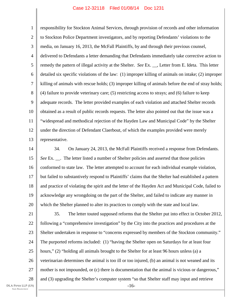1 2 3 4 5 6 7 8 9 10 11 12 13 responsibility for Stockton Animal Services, through provision of records and other information to Stockton Police Department investigators, and by reporting Defendants' violations to the media, on January 16, 2013, the McFall Plaintiffs, by and through their previous counsel, delivered to Defendants a letter demanding that Defendants immediately take corrective action to remedy the pattern of illegal activity at the Shelter. *See* Ex. \_\_, Letter from E. Ideta. This letter detailed six specific violations of the law: (1) improper killing of animals on intake; (2) improper killing of animals with rescue holds; (3) improper killing of animals before the end of stray holds; (4) failure to provide veterinary care; (5) restricting access to strays; and (6) failure to keep adequate records. The letter provided examples of each violation and attached Shelter records obtained as a result of public records requests. The letter also pointed out that the issue was a "widespread and methodical rejection of the Hayden Law and Municipal Code" by the Shelter under the direction of Defendant Claerbout, of which the examples provided were merely representative.

14 15 16 17 18 19 20 34. On January 24, 2013, the McFall Plaintiffs received a response from Defendants. *See* Ex. . The letter listed a number of Shelter policies and asserted that those policies conformed to state law. The letter attempted to account for each individual example violation, but failed to substantively respond to Plaintiffs' claims that the Shelter had established a pattern and practice of violating the spirit and the letter of the Hayden Act and Municipal Code, failed to acknowledge any wrongdoing on the part of the Shelter, and failed to indicate any manner in which the Shelter planned to alter its practices to comply with the state and local law.

21 22 23 24 25 26 27 28 -16- 35. The letter touted supposed reforms that the Shelter put into effect in October 2012, following a "comprehensive investigation" by the City into the practices and procedures at the Shelter undertaken in response to "concerns expressed by members of the Stockton community." The purported reforms included: (1) "having the Shelter open on Saturdays for at least four hours," (2) "holding all animals brought to the Shelter for at least 96 hours unless (a) a veterinarian determines the animal is too ill or too injured, (b) an animal is not weaned and its mother is not impounded, or (c) there is documentation that the animal is vicious or dangerous," and (3) upgrading the Shelter's computer system "so that Shelter staff may input and retrieve

DLA PIPER LLP (US) SAN FRANCISCO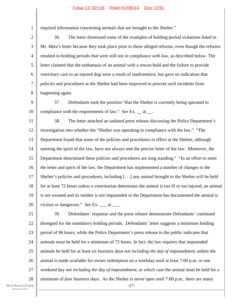required information concerning animals that are brought to the Shelter."

3 4 5 6 7 8 36. The letter dismissed some of the examples of holding-period violations listed in Mr. Ideta's letter because they took place prior to these alleged reforms, even though the reforms resulted in holding periods that were still not in compliance with law, as described below. The letter claimed that the euthanasia of an animal with a rescue hold and the failure to provide veterinary care to an injured dog were a result of inadvertence, but gave no indication that policies and procedures at the Shelter had been improved to prevent such incidents from happening again.

9 10 37. Defendants took the position "that the Shelter is currently being operated in compliance with the requirements of law." *See* Ex. at .

11 12 13 14 15 16 17 18 19 20 38. The letter attached an undated press release discussing the Police Department's investigation into whether the "Shelter was operating in compliance with the law." "The Department found that some of the policies and procedures in effect at the Shelter, although meeting the spirit of the law, have not always met the precise letter of the law. Moreover, the Department determined these policies and procedures are long standing." "In an effort to meet the letter and spirit of the law, the Department has implemented a number of changes to the Shelter's policies and procedures, including [. . .] any animal brought to the Shelter will be held for at least 72 hours unless a veterinarian determines the animal is too ill or too injured, an animal is not weaned and its mother is not impounded or the Department has documented the animal is vicious or dangerous." *See* Ex. \_\_\_ at \_\_\_.

21 22 23 24 25 26 27 28 -17- 39. Defendants' response and the press release demonstrate Defendants' continued disregard for the mandatory holding periods. Defendants' letter suggests a minimum holding period of 96 hours, while the Police Department's press release to the public indicates that animals must be held for a minimum of 72 hours. In fact, the law requires that impounded animals be held for at least *six business days not including the day of impoundment*, unless the animal is made available for owner redemption on a weekday until at least 7:00 p.m. or one weekend day *not including the day of impoundment*, in which case the animal must be held for a minimum of *four business days*. As the Shelter is never open until 7:00 p.m., there are many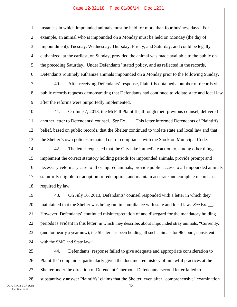1 2 3 4 5 6 7 8 9 10 11 12 13 14 15 16 17 18 19 20 21 22 23 24 instances in which impounded animals must be held for more than four business days. For example, an animal who is impounded on a Monday must be held on Monday (the day of impoundment), Tuesday, Wednesday, Thursday, Friday, and Saturday, and could be legally euthanized, at the earliest, on Sunday, provided the animal was made available to the public on the preceding Saturday. Under Defendants' stated policy, and as reflected in the records, Defendants routinely euthanize animals impounded on a Monday prior to the following Sunday. 40. After receiving Defendants' response, Plaintiffs obtained a number of records via public records requests demonstrating that Defendants had continued to violate state and local law after the reforms were purportedly implemented. 41. On June 7, 2013, the McFall Plaintiffs, through their previous counsel, delivered another letter to Defendants' counsel. *See* Ex. \_\_. This letter informed Defendants of Plaintiffs' belief, based on public records, that the Shelter continued to violate state and local law and that the Shelter's own policies remained out of compliance with the Stockton Municipal Code. 42. The letter requested that the City take immediate action to, among other things, implement the correct statutory holding periods for impounded animals, provide prompt and necessary veterinary care to ill or injured animals, provide public access to all impounded animals statutorily eligible for adoption or redemption, and maintain accurate and complete records as required by law. 43. On July 16, 2013, Defendants' counsel responded with a letter in which they maintained that the Shelter was being run in compliance with state and local law. *See* Ex. \_\_. However, Defendants' continued misinterpretation of and disregard for the mandatory holding periods is evident in this letter, in which they describe, about impounded stray animals, "Currently, (and for nearly a year now), the Shelter has been holding all such animals for 96 hours, consistent with the SMC and State law."

25 26 27 28 -18- 44. Defendants' response failed to give adequate and appropriate consideration to Plaintiffs' complaints, particularly given the documented history of unlawful practices at the Shelter under the direction of Defendant Claerbout. Defendants' second letter failed to substantively answer Plaintiffs' claims that the Shelter, even after "comprehensive" examination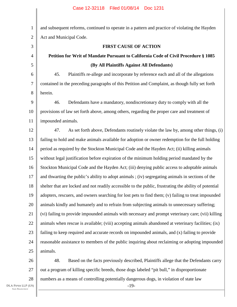1 2 3 4 5 6 7 8 9 10 11 12 13 14 15 16 17 18 19 20 21 22 23 24 25 26 27 and subsequent reforms, continued to operate in a pattern and practice of violating the Hayden Act and Municipal Code. **FIRST CAUSE OF ACTION Petition for Writ of Mandate Pursuant to California Code of Civil Procedure § 1085 (By All Plaintiffs Against All Defendants)**  45. Plaintiffs re-allege and incorporate by reference each and all of the allegations contained in the preceding paragraphs of this Petition and Complaint, as though fully set forth herein. 46. Defendants have a mandatory, nondiscretionary duty to comply with all the provisions of law set forth above, among others, regarding the proper care and treatment of impounded animals. 47. As set forth above, Defendants routinely violate the law by, among other things, (i) failing to hold and make animals available for adoption or owner redemption for the full holding period as required by the Stockton Municipal Code and the Hayden Act; (ii) killing animals without legal justification before expiration of the minimum holding period mandated by the Stockton Municipal Code and the Hayden Act; (iii) denying public access to adoptable animals and thwarting the public's ability to adopt animals ; (iv) segregating animals in sections of the shelter that are locked and not readily accessible to the public, frustrating the ability of potential adopters, rescuers, and owners searching for lost pets to find them; (v) failing to treat impounded animals kindly and humanely and to refrain from subjecting animals to unnecessary suffering; (vi) failing to provide impounded animals with necessary and prompt veterinary care; (vii) killing animals when rescue is available; (viii) accepting animals abandoned at veterinary facilities; (ix) failing to keep required and accurate records on impounded animals, and (x) failing to provide reasonable assistance to members of the public inquiring about reclaiming or adopting impounded animals. 48. Based on the facts previously described, Plaintiffs allege that the Defendants carry out a program of killing specific breeds, those dogs labeled "pit bull," in disproportionate

28

-19-

numbers as a means of controlling potentially dangerous dogs, in violation of state law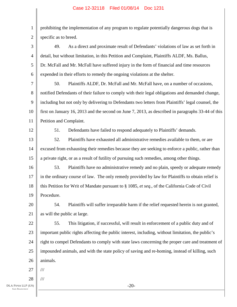1 2 prohibiting the implementation of any program to regulate potentially dangerous dogs that is specific as to breed.

3 4 5 6 49. As a direct and proximate result of Defendants' violations of law as set forth in detail, but without limitation, in this Petition and Complaint, Plaintiffs ALDF, Ms. Ballus, Dr. McFall and Mr. McFall have suffered injury in the form of financial and time resources expended in their efforts to remedy the ongoing violations at the shelter.

7 8 9 10 11 50. Plaintiffs ALDF, Dr. McFall and Mr. McFall have, on a number of occasions, notified Defendants of their failure to comply with their legal obligations and demanded change, including but not only by delivering to Defendants two letters from Plaintiffs' legal counsel, the first on January 16, 2013 and the second on June 7, 2013, as described in paragraphs 33-44 of this Petition and Complaint.

12

51. Defendants have failed to respond adequately to Plaintiffs' demands.

13 14 15 52. Plaintiffs have exhausted all administrative remedies available to them, or are excused from exhausting their remedies because they are seeking to enforce a public, rather than a private right, or as a result of futility of pursuing such remedies, among other things.

16 17 18 19 53. Plaintiffs have no administrative remedy and no plain, speedy or adequate remedy in the ordinary course of law. The only remedy provided by law for Plaintiffs to obtain relief is this Petition for Writ of Mandate pursuant to § 1085, *et seq*., of the California Code of Civil Procedure.

20 21 54. Plaintiffs will suffer irreparable harm if the relief requested herein is not granted, as will the public at large.

22 23 24 25 26 55. This litigation, if successful, will result in enforcement of a public duty and of important public rights affecting the public interest, including, without limitation, the public's right to compel Defendants to comply with state laws concerning the proper care and treatment of impounded animals, and with the state policy of saving and re-homing, instead of killing, such animals.

27 ///

28 ///

-20-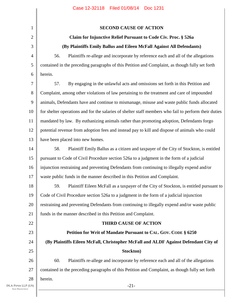| $\mathbf 1$    | <b>SECOND CAUSE OF ACTION</b>                                                                         |
|----------------|-------------------------------------------------------------------------------------------------------|
| $\overline{2}$ | Claim for Injunctive Relief Pursuant to Code Civ. Proc. § 526a                                        |
| 3              | (By Plaintiffs Emily Ballus and Eileen McFall Against All Defendants)                                 |
| $\overline{4}$ | Plaintiffs re-allege and incorporate by reference each and all of the allegations<br>56.              |
| 5              | contained in the preceding paragraphs of this Petition and Complaint, as though fully set forth       |
| 6              | herein.                                                                                               |
| 7              | By engaging in the unlawful acts and omissions set forth in this Petition and<br>57.                  |
| 8              | Complaint, among other violations of law pertaining to the treatment and care of impounded            |
| 9              | animals, Defendants have and continue to mismanage, misuse and waste public funds allocated           |
| 10             | for shelter operations and for the salaries of shelter staff members who fail to perform their duties |
| 11             | mandated by law. By euthanizing animals rather than promoting adoption, Defendants forgo              |
| 12             | potential revenue from adoption fees and instead pay to kill and dispose of animals who could         |
| 13             | have been placed into new homes.                                                                      |
| 14             | Plaintiff Emily Ballus as a citizen and taxpayer of the City of Stockton, is entitled<br>58.          |
| 15             | pursuant to Code of Civil Procedure section 526a to a judgment in the form of a judicial              |
| 16             | injunction restraining and preventing Defendants from continuing to illegally expend and/or           |
| 17             | waste public funds in the manner described in this Petition and Complaint.                            |
| 18             | 59.<br>Plaintiff Eileen McFall as a taxpayer of the City of Stockton, is entitled pursuant to         |
| 19             | Code of Civil Procedure section 526a to a judgment in the form of a judicial injunction               |
| 20             | restraining and preventing Defendants from continuing to illegally expend and/or waste public         |
| 21             | funds in the manner described in this Petition and Complaint.                                         |
| 22             | <b>THIRD CAUSE OF ACTION</b>                                                                          |
| 23             | Petition for Writ of Mandate Pursuant to CAL. GOV. CODE § 6250                                        |
| 24             | (By Plaintiffs Eileen McFall, Christopher McFall and ALDF Against Defendant City of                   |
| 25             | Stockton)                                                                                             |
| 26             | 60.<br>Plaintiffs re-allege and incorporate by reference each and all of the allegations              |
| 27             | contained in the preceding paragraphs of this Petition and Complaint, as though fully set forth       |
| 28             | herein.                                                                                               |
| P(US)          | $-21-$                                                                                                |
|                |                                                                                                       |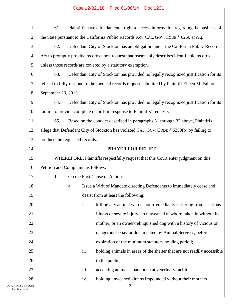| $\mathbf{1}$     | 61.                                                                                        |                                     | Plaintiffs have a fundamental right to access information regarding the business of             |  |
|------------------|--------------------------------------------------------------------------------------------|-------------------------------------|-------------------------------------------------------------------------------------------------|--|
| $\overline{2}$   | the State pursuant to the California Public Records Act, CAL. GOV. CODE § 6250 et seq.     |                                     |                                                                                                 |  |
| 3                | 62.<br>Defendant City of Stockton has an obligation under the California Public Records    |                                     |                                                                                                 |  |
| $\overline{4}$   |                                                                                            |                                     | Act to promptly provide records upon request that reasonably describes identifiable records,    |  |
| 5                |                                                                                            |                                     | unless those records are covered by a statutory exemption.                                      |  |
| 6                | 63.                                                                                        |                                     | Defendant City of Stockton has provided no legally recognized justification for its             |  |
| $\overline{7}$   |                                                                                            |                                     | refusal to fully respond to the medical records request submitted by Plaintiff Eileen McFall on |  |
| 8                | September 23, 2013.                                                                        |                                     |                                                                                                 |  |
| 9                | 64.                                                                                        |                                     | Defendant City of Stockton has provided no legally recognized justification for its             |  |
| 10               | failure to provide complete records in response to Plaintiffs' requests.                   |                                     |                                                                                                 |  |
| 11               | 65.                                                                                        |                                     | Based on the conduct described in paragraphs 31 through 32 above, Plaintiffs                    |  |
| 12               | allege that Defendant City of Stockton has violated CAL. GOV. CODE § 6253(b) by failing to |                                     |                                                                                                 |  |
| 13               | produce the requested records.                                                             |                                     |                                                                                                 |  |
| 14               |                                                                                            |                                     | <b>PRAYER FOR RELIEF</b>                                                                        |  |
| 15               |                                                                                            |                                     | WHEREFORE, Plaintiffs respectfully request that this Court enter judgment on this               |  |
| 16               |                                                                                            | Petition and Complaint, as follows: |                                                                                                 |  |
| 17               | 1.                                                                                         |                                     | On the First Cause of Action:                                                                   |  |
| 18               |                                                                                            | a.                                  | Issue a Writ of Mandate directing Defendants to immediately cease and                           |  |
| 19               |                                                                                            |                                     | desist from at least the following:                                                             |  |
| 20               |                                                                                            | i.                                  | killing any animal who is not irremediably suffering from a serious                             |  |
| 21               |                                                                                            |                                     | illness or severe injury, an unweaned newborn taken in without its                              |  |
| 22               |                                                                                            |                                     | mother, or an owner-relinquished dog with a history of vicious or                               |  |
| 23               |                                                                                            |                                     | dangerous behavior documented by Animal Services, before                                        |  |
| 24               |                                                                                            |                                     | expiration of the minimum statutory holding period;                                             |  |
| 25               |                                                                                            | ii.                                 | holding animals in areas of the shelter that are not readily accessible                         |  |
| 26               |                                                                                            |                                     | to the public;                                                                                  |  |
| 27               |                                                                                            | iii.                                | accepting animals abandoned at veterinary facilities;                                           |  |
| 28               |                                                                                            | iv.                                 | holding unweaned kittens impounded without their mothers                                        |  |
| LP (US)<br>CISCO |                                                                                            |                                     | $-22-$                                                                                          |  |
|                  |                                                                                            |                                     |                                                                                                 |  |

DLA PIPER L SAN FRANC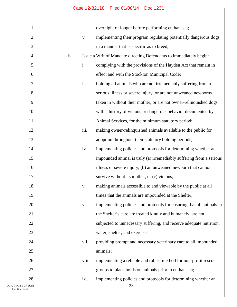| $\mathbf{1}$          |               |       | overnight or longer before performing euthanasia;                    |
|-----------------------|---------------|-------|----------------------------------------------------------------------|
| $\overline{2}$        |               | V.    | implementing their program regulating potentially dangerous dogs     |
| 3                     |               |       | in a manner that is specific as to breed;                            |
| $\overline{4}$        | $\mathbf b$ . |       | Issue a Writ of Mandate directing Defendants to immediately begin:   |
| 5                     |               | i.    | complying with the provisions of the Hayden Act that remain in       |
| 6                     |               |       | effect and with the Stockton Municipal Code;                         |
| $\tau$                |               | ii.   | holding all animals who are not irremediably suffering from a        |
| 8                     |               |       | serious illness or severe injury, or are not unweaned newborns       |
| 9                     |               |       | taken in without their mother, or are not owner-relinquished dogs    |
| 10                    |               |       | with a history of vicious or dangerous behavior documented by        |
| 11                    |               |       | Animal Services, for the minimum statutory period;                   |
| 12                    |               | iii.  | making owner-relinquished animals available to the public for        |
| 13                    |               |       | adoption throughout their statutory holding periods;                 |
| 14                    |               | iv.   | implementing policies and protocols for determining whether an       |
| 15                    |               |       | impounded animal is truly (a) irremediably suffering from a serious  |
| 16                    |               |       | illness or severe injury, (b) an unweaned newborn that cannot        |
| 17                    |               |       | survive without its mother, or (c) vicious;                          |
| 18                    |               | V.    | making animals accessible to and viewable by the public at all       |
| 19                    |               |       | times that the animals are impounded at the Shelter;                 |
| 20                    |               | vi.   | implementing policies and protocols for ensuring that all animals in |
| 21                    |               |       | the Shelter's care are treated kindly and humanely, are not          |
| 22                    |               |       | subjected to unnecessary suffering, and receive adequate nutrition,  |
| 23                    |               |       | water, shelter, and exercise;                                        |
| 24                    |               | vii.  | providing prompt and necessary veterinary care to all impounded      |
| 25                    |               |       | animals;                                                             |
| 26                    |               | viii. | implementing a reliable and robust method for non-profit rescue      |
| 27                    |               |       | groups to place holds on animals prior to euthanasia;                |
| 28                    |               | ix.   | implementing policies and protocols for determining whether an       |
| P (US)<br>$_{\rm{c}}$ |               |       | $-23-$                                                               |
|                       |               |       |                                                                      |

DLA PIPER LL SAN FRANCIS  $\mathsf{l}$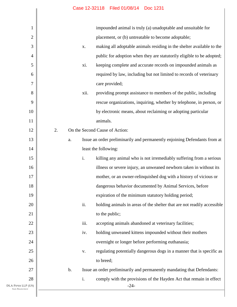| 1                                          | impounded animal is truly (a) unadoptable and unsuitable for                             |
|--------------------------------------------|------------------------------------------------------------------------------------------|
| $\overline{c}$                             | placement, or (b) untreatable to become adoptable;                                       |
| 3                                          | making all adoptable animals residing in the shelter available to the<br>X.              |
| $\overline{4}$                             | public for adoption when they are statutorily eligible to be adopted;                    |
| 5                                          | keeping complete and accurate records on impounded animals as<br>xi.                     |
| 6                                          | required by law, including but not limited to records of veterinary                      |
| 7                                          | care provided;                                                                           |
| 8                                          | xii.<br>providing prompt assistance to members of the public, including                  |
| 9                                          | rescue organizations, inquiring, whether by telephone, in person, or                     |
| 10                                         | by electronic means, about reclaiming or adopting particular                             |
| 11                                         | animals.                                                                                 |
| 12                                         | 2.<br>On the Second Cause of Action:                                                     |
| 13                                         | Issue an order preliminarily and permanently enjoining Defendants from at<br>a.          |
| 14                                         | least the following:                                                                     |
| 15                                         | $\mathbf{i}$ .<br>killing any animal who is not irremediably suffering from a serious    |
| 16                                         | illness or severe injury, an unweaned newborn taken in without its                       |
| 17                                         | mother, or an owner-relinquished dog with a history of vicious or                        |
| 18                                         | dangerous behavior documented by Animal Services, before                                 |
| 19                                         | expiration of the minimum statutory holding period;                                      |
| 20                                         | ii.<br>holding animals in areas of the shelter that are not readily accessible           |
| 21                                         | to the public;                                                                           |
| 22                                         | iii.<br>accepting animals abandoned at veterinary facilities;                            |
| 23                                         | holding unweaned kittens impounded without their mothers<br>iv.                          |
| 24                                         | overnight or longer before performing euthanasia;                                        |
| 25                                         | regulating potentially dangerous dogs in a manner that is specific as<br>V.              |
| 26                                         | to breed;                                                                                |
| 27                                         | Issue an order preliminarily and permanently mandating that Defendants:<br>$\mathbf b$ . |
| 28                                         | i.<br>comply with the provisions of the Hayden Act that remain in effect                 |
| DLA PIPER LLP (US)<br><b>SAN FRANCISCO</b> | $-24-$                                                                                   |
|                                            |                                                                                          |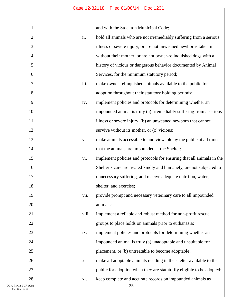and with the Stockton Municipal Code;

| 1                                          |       | and with the Stockton Municipal Code;                                 |
|--------------------------------------------|-------|-----------------------------------------------------------------------|
| $\mathbf{2}$                               | ii.   | hold all animals who are not irremediably suffering from a serious    |
| 3                                          |       | illness or severe injury, or are not unweaned newborns taken in       |
| $\overline{4}$                             |       | without their mother, or are not owner-relinquished dogs with a       |
| 5                                          |       | history of vicious or dangerous behavior documented by Animal         |
| 6                                          |       | Services, for the minimum statutory period;                           |
| $\tau$                                     | iii.  | make owner-relinquished animals available to the public for           |
| 8                                          |       | adoption throughout their statutory holding periods;                  |
| 9                                          | iv.   | implement policies and protocols for determining whether an           |
| 10                                         |       | impounded animal is truly (a) irremediably suffering from a serious   |
| 11                                         |       | illness or severe injury, (b) an unweaned newborn that cannot         |
| 12                                         |       | survive without its mother, or (c) vicious;                           |
| 13                                         | V.    | make animals accessible to and viewable by the public at all times    |
| 14                                         |       | that the animals are impounded at the Shelter;                        |
| 15                                         | vi.   | implement policies and protocols for ensuring that all animals in the |
| 16                                         |       | Shelter's care are treated kindly and humanely, are not subjected to  |
| 17                                         |       | unnecessary suffering, and receive adequate nutrition, water,         |
| 18                                         |       | shelter, and exercise;                                                |
| 19                                         | vii.  | provide prompt and necessary veterinary care to all impounded         |
| 20                                         |       | animals;                                                              |
| 21                                         | viii. | implement a reliable and robust method for non-profit rescue          |
| 22                                         |       | groups to place holds on animals prior to euthanasia;                 |
| 23                                         | ix.   | implement policies and protocols for determining whether an           |
| 24                                         |       | impounded animal is truly (a) unadoptable and unsuitable for          |
| 25                                         |       | placement, or (b) untreatable to become adoptable;                    |
| 26                                         | X.    | make all adoptable animals residing in the shelter available to the   |
| 27                                         |       | public for adoption when they are statutorily eligible to be adopted; |
| 28                                         | xi.   | keep complete and accurate records on impounded animals as            |
| DLA PIPER LLP (US)<br><b>SAN FRANCISCO</b> |       | $-25-$                                                                |
|                                            |       |                                                                       |